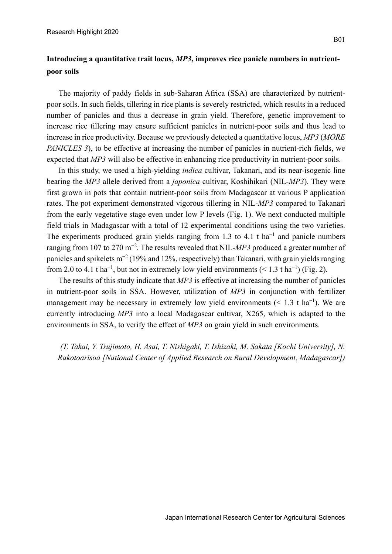## **Introducing a quantitative trait locus,** *MP3***, improves rice panicle numbers in nutrientpoor soils**

The majority of paddy fields in sub-Saharan Africa (SSA) are characterized by nutrientpoor soils. In such fields, tillering in rice plants is severely restricted, which results in a reduced number of panicles and thus a decrease in grain yield. Therefore, genetic improvement to increase rice tillering may ensure sufficient panicles in nutrient-poor soils and thus lead to increase in rice productivity. Because we previously detected a quantitative locus, *MP3* (*MORE PANICLES* 3), to be effective at increasing the number of panicles in nutrient-rich fields, we expected that *MP3* will also be effective in enhancing rice productivity in nutrient-poor soils.

In this study, we used a high-yielding *indica* cultivar, Takanari, and its near-isogenic line bearing the *MP3* allele derived from a *japonica* cultivar, Koshihikari (NIL-*MP3*). They were first grown in pots that contain nutrient-poor soils from Madagascar at various P application rates. The pot experiment demonstrated vigorous tillering in NIL-*MP3* compared to Takanari from the early vegetative stage even under low P levels (Fig. 1). We next conducted multiple field trials in Madagascar with a total of 12 experimental conditions using the two varieties. The experiments produced grain yields ranging from 1.3 to 4.1 t ha<sup>-1</sup> and panicle numbers ranging from 107 to 270 m<sup>−</sup><sup>2</sup> . The results revealed that NIL-*MP3* produced a greater number of panicles and spikelets m<sup>-2</sup> (19% and 12%, respectively) than Takanari, with grain yields ranging from 2.0 to 4.1 t ha<sup>-1</sup>, but not in extremely low yield environments (< 1.3 t ha<sup>-1</sup>) (Fig. 2).

The results of this study indicate that *MP3* is effective at increasing the number of panicles in nutrient-poor soils in SSA. However, utilization of *MP3* in conjunction with fertilizer management may be necessary in extremely low yield environments  $(< 1.3 \text{ t ha}^{-1})$ . We are currently introducing *MP3* into a local Madagascar cultivar, X265, which is adapted to the environments in SSA, to verify the effect of *MP3* on grain yield in such environments.

*(T. Takai, Y. Tsujimoto, H. Asai, T. Nishigaki, T. Ishizaki, M. Sakata [Kochi University], N. Rakotoarisoa [National Center of Applied Research on Rural Development, Madagascar])*